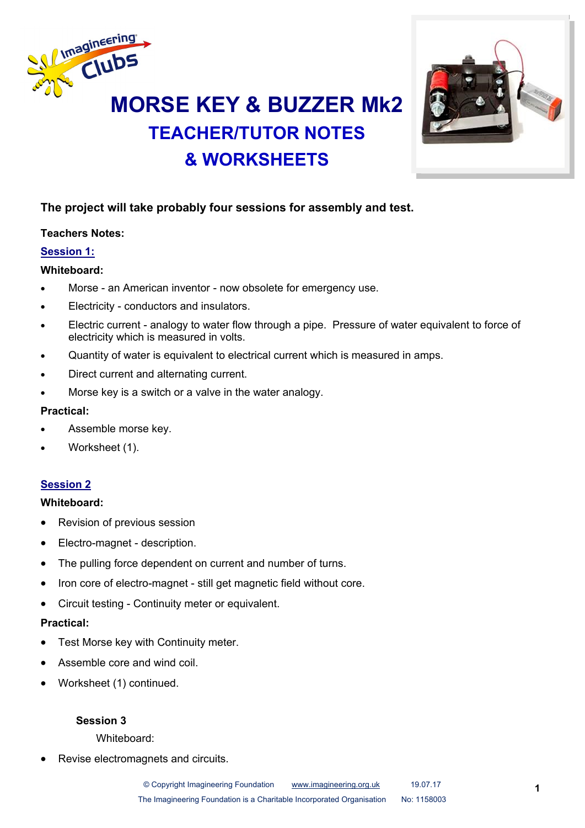

# **TEACHER/TUTOR NOTES & WORKSHEETS**



#### **The project will take probably four sessions for assembly and test.**

#### **Teachers Notes:**

#### **Session 1:**

#### **Whiteboard:**

- Morse an American inventor now obsolete for emergency use.
- Electricity conductors and insulators.
- Electric current analogy to water flow through a pipe. Pressure of water equivalent to force of electricity which is measured in volts.
- Quantity of water is equivalent to electrical current which is measured in amps.
- Direct current and alternating current.
- Morse key is a switch or a valve in the water analogy.

#### **Practical:**

- Assemble morse key.
- Worksheet (1).

#### **Session 2**

#### **Whiteboard:**

- Revision of previous session
- Electro-magnet description.
- The pulling force dependent on current and number of turns.
- Iron core of electro-magnet still get magnetic field without core.
- Circuit testing Continuity meter or equivalent.

#### **Practical:**

- Test Morse key with Continuity meter.
- Assemble core and wind coil.
- Worksheet (1) continued.

#### **Session 3**

#### Whiteboard:

Revise electromagnets and circuits.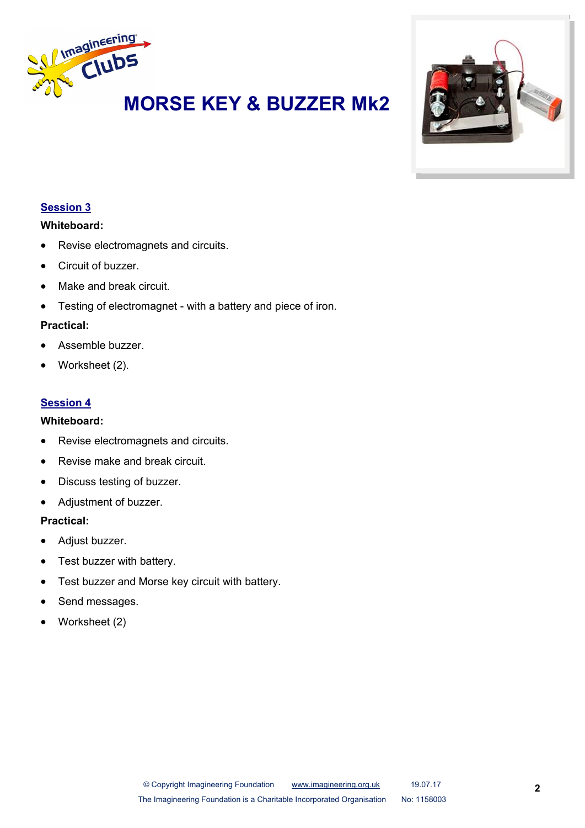



#### **Session 3**

#### **Whiteboard:**

- Revise electromagnets and circuits.
- **Circuit of buzzer**
- Make and break circuit.
- Testing of electromagnet with a battery and piece of iron.

#### **Practical:**

- Assemble buzzer.
- Worksheet (2).

#### **Session 4**

#### **Whiteboard:**

- Revise electromagnets and circuits.
- Revise make and break circuit.
- Discuss testing of buzzer.
- Adjustment of buzzer.

#### **Practical:**

- Adiust buzzer.
- Test buzzer with battery.
- Test buzzer and Morse key circuit with battery.
- Send messages.
- Worksheet (2)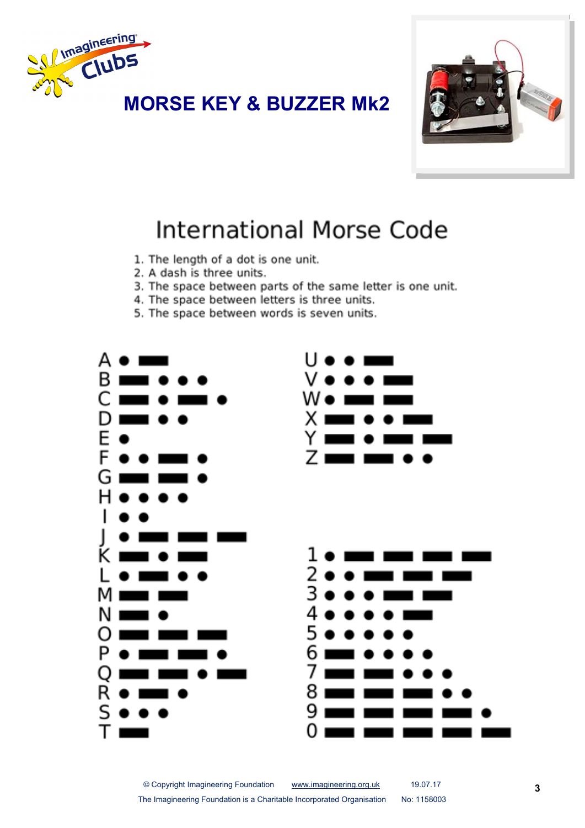



## **International Morse Code**

- 1. The length of a dot is one unit.
- 2. A dash is three units.
- 3. The space between parts of the same letter is one unit.
- 4. The space between letters is three units.
- 5. The space between words is seven units.

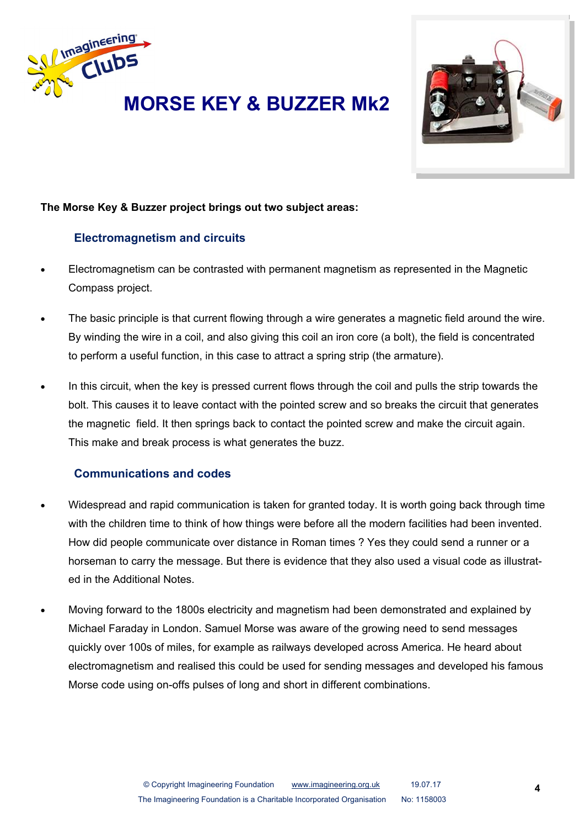



#### **The Morse Key & Buzzer project brings out two subject areas:**

#### **Electromagnetism and circuits**

- Electromagnetism can be contrasted with permanent magnetism as represented in the Magnetic Compass project.
- The basic principle is that current flowing through a wire generates a magnetic field around the wire. By winding the wire in a coil, and also giving this coil an iron core (a bolt), the field is concentrated to perform a useful function, in this case to attract a spring strip (the armature).
- In this circuit, when the key is pressed current flows through the coil and pulls the strip towards the bolt. This causes it to leave contact with the pointed screw and so breaks the circuit that generates the magnetic field. It then springs back to contact the pointed screw and make the circuit again. This make and break process is what generates the buzz.

#### **Communications and codes**

- Widespread and rapid communication is taken for granted today. It is worth going back through time with the children time to think of how things were before all the modern facilities had been invented. How did people communicate over distance in Roman times ? Yes they could send a runner or a horseman to carry the message. But there is evidence that they also used a visual code as illustrated in the Additional Notes.
- Moving forward to the 1800s electricity and magnetism had been demonstrated and explained by Michael Faraday in London. Samuel Morse was aware of the growing need to send messages quickly over 100s of miles, for example as railways developed across America. He heard about electromagnetism and realised this could be used for sending messages and developed his famous Morse code using on-offs pulses of long and short in different combinations.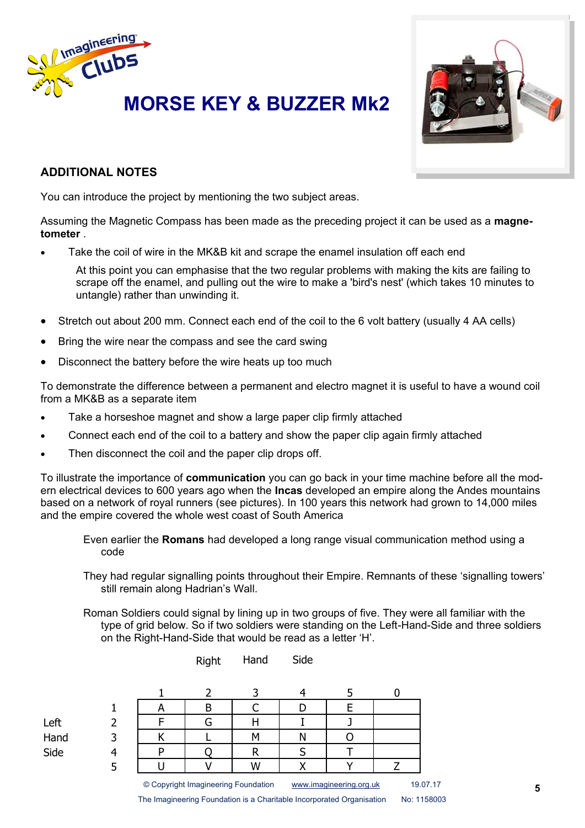

## **MORSE KEY & BUZZER Mk2**



#### **ADDITIONAL NOTES**

You can introduce the project by mentioning the two subject areas.

Assuming the Magnetic Compass has been made as the preceding project it can be used as a **magnetometer** .

Take the coil of wire in the MK&B kit and scrape the enamel insulation off each end

At this point you can emphasise that the two regular problems with making the kits are failing to scrape off the enamel, and pulling out the wire to make a 'bird's nest' (which takes 10 minutes to untangle) rather than unwinding it.

- Stretch out about 200 mm. Connect each end of the coil to the 6 volt battery (usually 4 AA cells)
- Bring the wire near the compass and see the card swing
- Disconnect the battery before the wire heats up too much

To demonstrate the difference between a permanent and electro magnet it is useful to have a wound coil from a MK&B as a separate item

- Take a horseshoe magnet and show a large paper clip firmly attached
- Connect each end of the coil to a battery and show the paper clip again firmly attached
- Then disconnect the coil and the paper clip drops off.

To illustrate the importance of **communication** you can go back in your time machine before all the modern electrical devices to 600 years ago when the **Incas** developed an empire along the Andes mountains based on a network of royal runners (see pictures). In 100 years this network had grown to 14,000 miles and the empire covered the whole west coast of South America

Even earlier the **Romans** had developed a long range visual communication method using a code

They had regular signalling points throughout their Empire. Remnants of these 'signalling towers' still remain along Hadrian's Wall.

Roman Soldiers could signal by lining up in two groups of five. They were all familiar with the type of grid below. So if two soldiers were standing on the Left-Hand-Side and three soldiers on the Right-Hand-Side that would be read as a letter 'H'.

Right Hand Side

|      | n |                                     |   |                         |  |  |          |
|------|---|-------------------------------------|---|-------------------------|--|--|----------|
| Left |   |                                     |   |                         |  |  |          |
| Hand |   |                                     | Μ | N                       |  |  |          |
| Side |   |                                     |   |                         |  |  |          |
|      |   |                                     | W |                         |  |  |          |
|      |   | © Copyright Imagineering Foundation |   | www.imagineering.org.uk |  |  | 19.07.17 |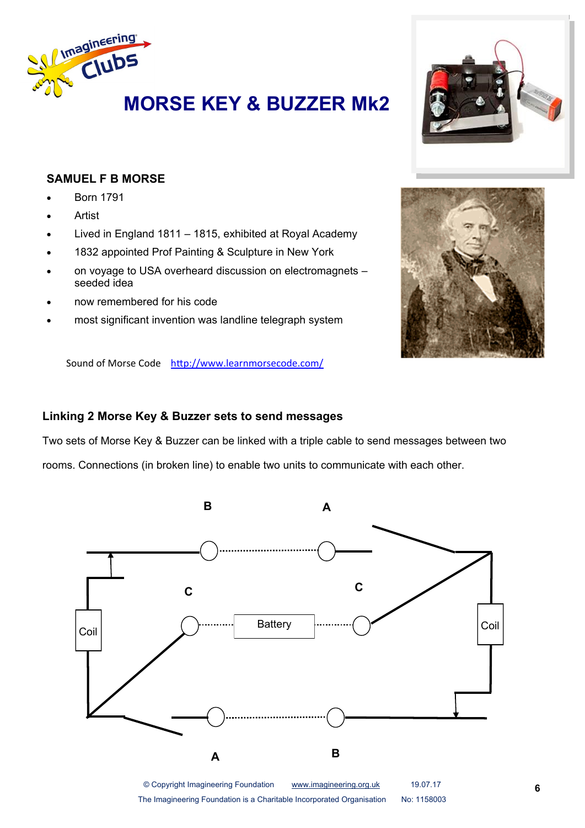



### **SAMUEL F B MORSE**

- Born 1791
- Artist
- Lived in England 1811 1815, exhibited at Royal Academy
- 1832 appointed Prof Painting & Sculpture in New York
- on voyage to USA overheard discussion on electromagnets seeded idea
- now remembered for his code
- most significant invention was landline telegraph system



#### **Linking 2 Morse Key & Buzzer sets to send messages**

Two sets of Morse Key & Buzzer can be linked with a triple cable to send messages between two

rooms. Connections (in broken line) to enable two units to communicate with each other.



The Imagineering Foundation is a Charitable Incorporated Organisation No: 1158003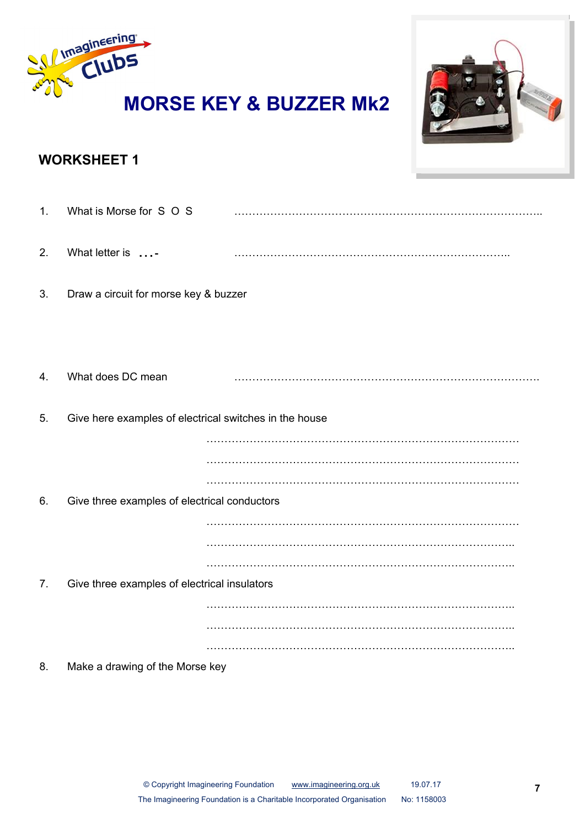

### **WORKSHEET 1**

| 1. | What is Morse for S O S                                |  |
|----|--------------------------------------------------------|--|
| 2. | What letter is -                                       |  |
| 3. | Draw a circuit for morse key & buzzer                  |  |
|    |                                                        |  |
| 4. | What does DC mean                                      |  |
| 5. | Give here examples of electrical switches in the house |  |
|    |                                                        |  |
|    |                                                        |  |
| 6. | Give three examples of electrical conductors           |  |
|    |                                                        |  |
|    |                                                        |  |
|    |                                                        |  |
| 7. | Give three examples of electrical insulators           |  |
|    |                                                        |  |
|    |                                                        |  |
|    |                                                        |  |
| 8. | Make a drawing of the Morse key                        |  |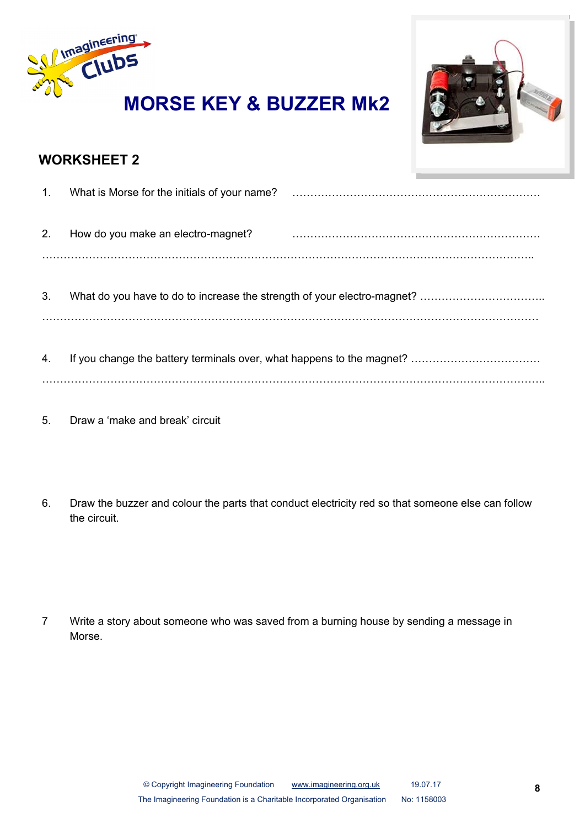



### **WORKSHEET 2**

| 1. |                                    |  |
|----|------------------------------------|--|
| 2. | How do you make an electro-magnet? |  |
|    |                                    |  |
| 3. |                                    |  |
|    |                                    |  |
| 4. |                                    |  |
|    |                                    |  |

- 5. Draw a 'make and break' circuit
- 6. Draw the buzzer and colour the parts that conduct electricity red so that someone else can follow the circuit.

7 Write a story about someone who was saved from a burning house by sending a message in Morse.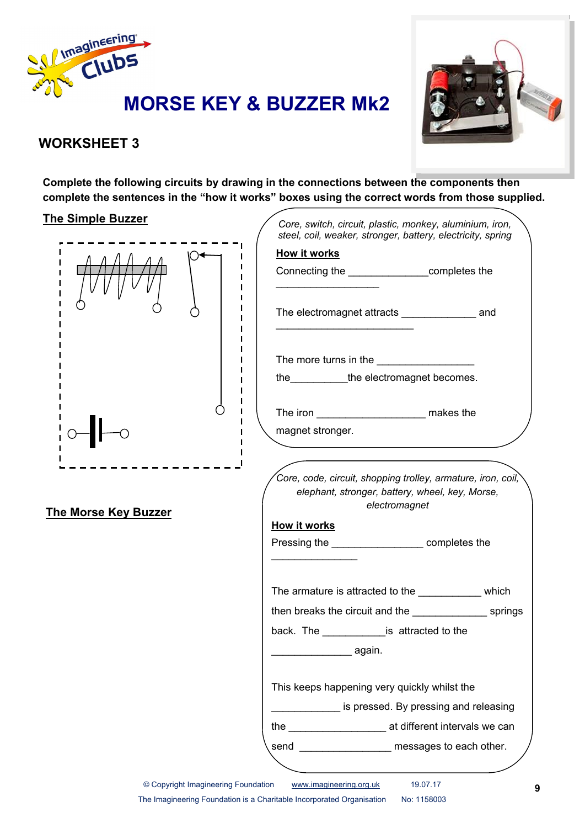



### **WORKSHEET 3**

**Complete the following circuits by drawing in the connections between the components then complete the sentences in the "how it works" boxes using the correct words from those supplied.**

#### **The Simple Buzzer**



**The Morse Key Buzzer**

| Core, switch, circuit, plastic, monkey, aluminium, iron,<br>steel, coil, weaker, stronger, battery, electricity, spring<br>How it works<br>Connecting the __________________completes the<br>The electromagnet attracts ____________________ and<br>The more turns in the ______________________<br>the _____________the electromagnet becomes.<br>magnet stronger.<br>Core, code, circuit, shopping trolley, armature, iron, coil,<br>elephant, stronger, battery, wheel, key, Morse,<br>electromagnet<br><u>How it works</u><br>Pressing the ________________________completes the<br>The armature is attracted to the _____________ which<br>then breaks the circuit and the state of the springs<br>back. The _______________is attracted to the |  |
|------------------------------------------------------------------------------------------------------------------------------------------------------------------------------------------------------------------------------------------------------------------------------------------------------------------------------------------------------------------------------------------------------------------------------------------------------------------------------------------------------------------------------------------------------------------------------------------------------------------------------------------------------------------------------------------------------------------------------------------------------|--|
|                                                                                                                                                                                                                                                                                                                                                                                                                                                                                                                                                                                                                                                                                                                                                      |  |
|                                                                                                                                                                                                                                                                                                                                                                                                                                                                                                                                                                                                                                                                                                                                                      |  |
|                                                                                                                                                                                                                                                                                                                                                                                                                                                                                                                                                                                                                                                                                                                                                      |  |
|                                                                                                                                                                                                                                                                                                                                                                                                                                                                                                                                                                                                                                                                                                                                                      |  |
|                                                                                                                                                                                                                                                                                                                                                                                                                                                                                                                                                                                                                                                                                                                                                      |  |
|                                                                                                                                                                                                                                                                                                                                                                                                                                                                                                                                                                                                                                                                                                                                                      |  |
|                                                                                                                                                                                                                                                                                                                                                                                                                                                                                                                                                                                                                                                                                                                                                      |  |
|                                                                                                                                                                                                                                                                                                                                                                                                                                                                                                                                                                                                                                                                                                                                                      |  |
|                                                                                                                                                                                                                                                                                                                                                                                                                                                                                                                                                                                                                                                                                                                                                      |  |
|                                                                                                                                                                                                                                                                                                                                                                                                                                                                                                                                                                                                                                                                                                                                                      |  |
|                                                                                                                                                                                                                                                                                                                                                                                                                                                                                                                                                                                                                                                                                                                                                      |  |
|                                                                                                                                                                                                                                                                                                                                                                                                                                                                                                                                                                                                                                                                                                                                                      |  |
| _______________ again.                                                                                                                                                                                                                                                                                                                                                                                                                                                                                                                                                                                                                                                                                                                               |  |
| This keeps happening very quickly whilst the                                                                                                                                                                                                                                                                                                                                                                                                                                                                                                                                                                                                                                                                                                         |  |
| is pressed. By pressing and releasing                                                                                                                                                                                                                                                                                                                                                                                                                                                                                                                                                                                                                                                                                                                |  |
|                                                                                                                                                                                                                                                                                                                                                                                                                                                                                                                                                                                                                                                                                                                                                      |  |
| messages to each other.<br>send                                                                                                                                                                                                                                                                                                                                                                                                                                                                                                                                                                                                                                                                                                                      |  |